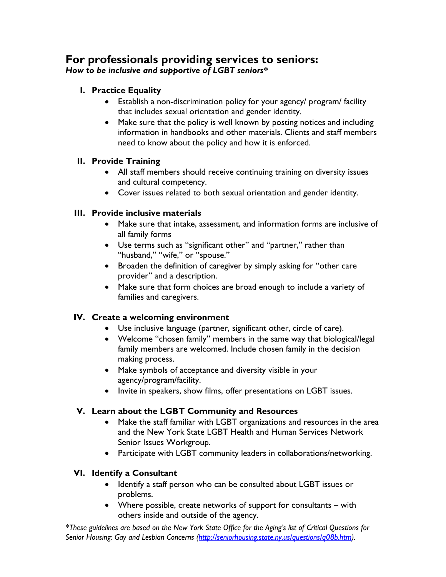# **For professionals providing services to seniors:**

*How to be inclusive and supportive of LGBT seniors\** 

- **I. Practice Equality** 
	- Establish a non-discrimination policy for your agency/ program/ facility that includes sexual orientation and gender identity.
	- Make sure that the policy is well known by posting notices and including information in handbooks and other materials. Clients and staff members need to know about the policy and how it is enforced.

### **II. Provide Training**

- All staff members should receive continuing training on diversity issues and cultural competency.
- Cover issues related to both sexual orientation and gender identity.

## **III. Provide inclusive materials**

- Make sure that intake, assessment, and information forms are inclusive of all family forms
- Use terms such as "significant other" and "partner," rather than "husband," "wife," or "spouse."
- Broaden the definition of caregiver by simply asking for "other care provider" and a description.
- Make sure that form choices are broad enough to include a variety of families and caregivers.

## **IV. Create a welcoming environment**

- Use inclusive language (partner, significant other, circle of care).
- Welcome "chosen family" members in the same way that biological/legal family members are welcomed. Include chosen family in the decision making process.
- Make symbols of acceptance and diversity visible in your agency/program/facility.
- Invite in speakers, show films, offer presentations on LGBT issues.

## **V. Learn about the LGBT Community and Resources**

- Make the staff familiar with LGBT organizations and resources in the area and the New York State LGBT Health and Human Services Network Senior Issues Workgroup.
- Participate with LGBT community leaders in collaborations/networking.

## **VI. Identify a Consultant**

- Identify a staff person who can be consulted about LGBT issues or problems.
- Where possible, create networks of support for consultants with others inside and outside of the agency.

*\*These guidelines are based on the New York State Office for the Aging's list of Critical Questions for Senior Housing: Gay and Lesbian Concerns (http://seniorhousing.state.ny.us/questions/q08b.htm).*